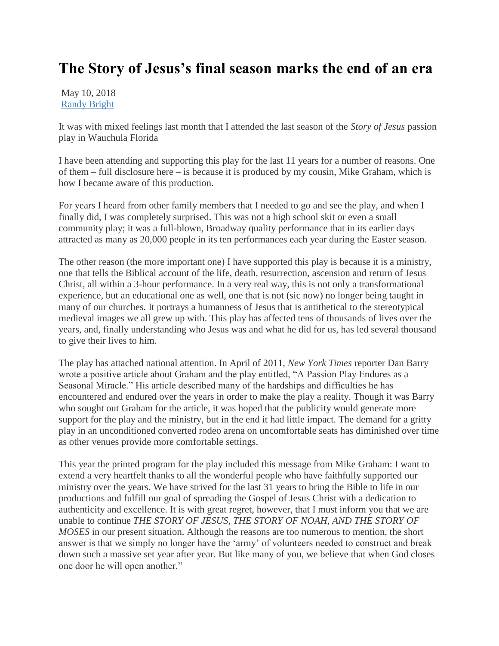## **The Story of Jesus's final season marks the end of an era**

May 10, 2018 [Randy Bright](http://tulsabeacon.com/author/randy-bright/)

It was with mixed feelings last month that I attended the last season of the *Story of Jesus* passion play in Wauchula Florida

I have been attending and supporting this play for the last 11 years for a number of reasons. One of them – full disclosure here – is because it is produced by my cousin, Mike Graham, which is how I became aware of this production.

For years I heard from other family members that I needed to go and see the play, and when I finally did, I was completely surprised. This was not a high school skit or even a small community play; it was a full-blown, Broadway quality performance that in its earlier days attracted as many as 20,000 people in its ten performances each year during the Easter season.

The other reason (the more important one) I have supported this play is because it is a ministry, one that tells the Biblical account of the life, death, resurrection, ascension and return of Jesus Christ, all within a 3-hour performance. In a very real way, this is not only a transformational experience, but an educational one as well, one that is not (sic now) no longer being taught in many of our churches. It portrays a humanness of Jesus that is antithetical to the stereotypical medieval images we all grew up with. This play has affected tens of thousands of lives over the years, and, finally understanding who Jesus was and what he did for us, has led several thousand to give their lives to him.

The play has attached national attention. In April of 2011, *New York Times* reporter Dan Barry wrote a positive article about Graham and the play entitled, "A Passion Play Endures as a Seasonal Miracle." His article described many of the hardships and difficulties he has encountered and endured over the years in order to make the play a reality. Though it was Barry who sought out Graham for the article, it was hoped that the publicity would generate more support for the play and the ministry, but in the end it had little impact. The demand for a gritty play in an unconditioned converted rodeo arena on uncomfortable seats has diminished over time as other venues provide more comfortable settings.

This year the printed program for the play included this message from Mike Graham: I want to extend a very heartfelt thanks to all the wonderful people who have faithfully supported our ministry over the years. We have strived for the last 31 years to bring the Bible to life in our productions and fulfill our goal of spreading the Gospel of Jesus Christ with a dedication to authenticity and excellence. It is with great regret, however, that I must inform you that we are unable to continue *THE STORY OF JESUS, THE STORY OF NOAH, AND THE STORY OF MOSES* in our present situation. Although the reasons are too numerous to mention, the short answer is that we simply no longer have the 'army' of volunteers needed to construct and break down such a massive set year after year. But like many of you, we believe that when God closes one door he will open another."